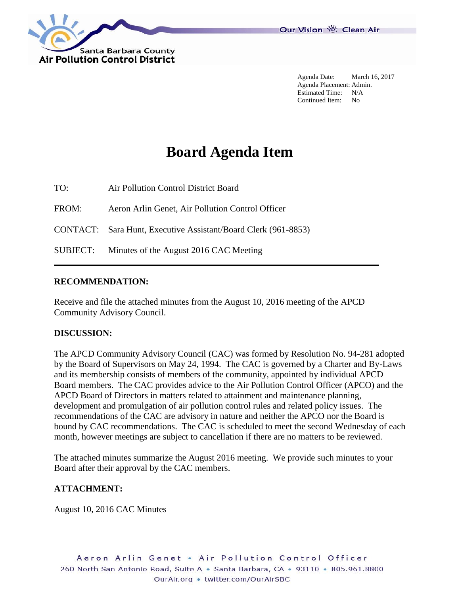

Agenda Date: March 16, 2017 Agenda Placement: Admin. Estimated Time: N/A Continued Item: No

# **Board Agenda Item**

TO: Air Pollution Control District Board

FROM: Aeron Arlin Genet, Air Pollution Control Officer

CONTACT: Sara Hunt, Executive Assistant/Board Clerk (961-8853)

SUBJECT: Minutes of the August 2016 CAC Meeting

## **RECOMMENDATION:**

Receive and file the attached minutes from the August 10, 2016 meeting of the APCD Community Advisory Council.

## **DISCUSSION:**

The APCD Community Advisory Council (CAC) was formed by Resolution No. 94-281 adopted by the Board of Supervisors on May 24, 1994. The CAC is governed by a Charter and By-Laws and its membership consists of members of the community, appointed by individual APCD Board members. The CAC provides advice to the Air Pollution Control Officer (APCO) and the APCD Board of Directors in matters related to attainment and maintenance planning, development and promulgation of air pollution control rules and related policy issues. The recommendations of the CAC are advisory in nature and neither the APCO nor the Board is bound by CAC recommendations. The CAC is scheduled to meet the second Wednesday of each month, however meetings are subject to cancellation if there are no matters to be reviewed.

The attached minutes summarize the August 2016 meeting. We provide such minutes to your Board after their approval by the CAC members.

# **ATTACHMENT:**

August 10, 2016 CAC Minutes

Aeron Arlin Genet . Air Pollution Control Officer 260 North San Antonio Road, Suite A · Santa Barbara, CA · 93110 · 805.961.8800 OurAir.org • twitter.com/OurAirSBC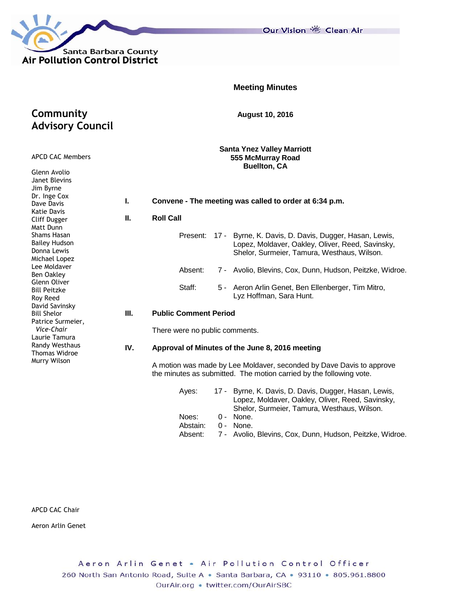

**Community** 

APCD CAC Members

**Advisory Council**

Our Vision 卷 Clean Air

|  | <b>Meeting Minutes</b> |
|--|------------------------|
|  |                        |

**August 10, 2016**

**Santa Ynez Valley Marriott 555 McMurray Road Buellton, CA**

| Glenn Avolio<br>Janet Blevins<br>Jim Byrne                                                                                                                |     | PUCIIUII, UA                                                                                                                                                         |  |  |  |  |  |  |  |  |
|-----------------------------------------------------------------------------------------------------------------------------------------------------------|-----|----------------------------------------------------------------------------------------------------------------------------------------------------------------------|--|--|--|--|--|--|--|--|
| Dr. Inge Cox<br>Dave Davis                                                                                                                                | ı.  | Convene - The meeting was called to order at 6:34 p.m.                                                                                                               |  |  |  |  |  |  |  |  |
| Katie Davis<br>Cliff Dugger<br>Matt Dunn                                                                                                                  | П.  | <b>Roll Call</b>                                                                                                                                                     |  |  |  |  |  |  |  |  |
| Shams Hasan<br><b>Bailey Hudson</b><br>Donna Lewis<br>Michael Lopez                                                                                       |     | 17 - Byrne, K. Davis, D. Davis, Dugger, Hasan, Lewis,<br>Present:<br>Lopez, Moldaver, Oakley, Oliver, Reed, Savinsky,<br>Shelor, Surmeier, Tamura, Westhaus, Wilson. |  |  |  |  |  |  |  |  |
| Lee Moldaver<br>Ben Oakley                                                                                                                                |     | Absent:<br>7 - Avolio, Blevins, Cox, Dunn, Hudson, Peitzke, Widroe.                                                                                                  |  |  |  |  |  |  |  |  |
| Glenn Oliver<br><b>Bill Peitzke</b><br>Roy Reed                                                                                                           |     | Staff:<br>Aeron Arlin Genet, Ben Ellenberger, Tim Mitro,<br>5 -<br>Lyz Hoffman, Sara Hunt.                                                                           |  |  |  |  |  |  |  |  |
| David Savinsky<br><b>Bill Shelor</b><br>Patrice Surmeier,<br>Vice-Chair<br>Laurie Tamura<br><b>Randy Westhaus</b><br><b>Thomas Widroe</b><br>Murry Wilson | Ш.  | <b>Public Comment Period</b>                                                                                                                                         |  |  |  |  |  |  |  |  |
|                                                                                                                                                           |     | There were no public comments.                                                                                                                                       |  |  |  |  |  |  |  |  |
|                                                                                                                                                           | IV. | Approval of Minutes of the June 8, 2016 meeting                                                                                                                      |  |  |  |  |  |  |  |  |
|                                                                                                                                                           |     | A motion was made by Lee Moldaver, seconded by Dave Davis to approve<br>the minutes as submitted. The motion carried by the following vote.                          |  |  |  |  |  |  |  |  |
|                                                                                                                                                           |     | 17 - Byrne, K. Davis, D. Davis, Dugger, Hasan, Lewis,<br>Ayes:<br>Lopez, Moldaver, Oakley, Oliver, Reed, Savinsky,<br>Shelor, Surmeier, Tamura, Westhaus, Wilson.    |  |  |  |  |  |  |  |  |
|                                                                                                                                                           |     | Noes:<br>None.<br>0 -                                                                                                                                                |  |  |  |  |  |  |  |  |

Abstain: 0 - None.

Absent: 7 - Avolio, Blevins, Cox, Dunn, Hudson, Peitzke, Widroe.

APCD CAC Chair

Aeron Arlin Genet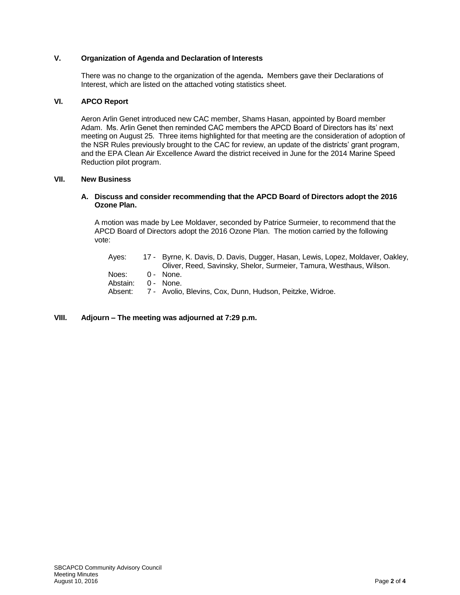#### **V. Organization of Agenda and Declaration of Interests**

There was no change to the organization of the agenda**.** Members gave their Declarations of Interest, which are listed on the attached voting statistics sheet.

#### **VI. APCO Report**

Aeron Arlin Genet introduced new CAC member, Shams Hasan, appointed by Board member Adam. Ms. Arlin Genet then reminded CAC members the APCD Board of Directors has its' next meeting on August 25. Three items highlighted for that meeting are the consideration of adoption of the NSR Rules previously brought to the CAC for review, an update of the districts' grant program, and the EPA Clean Air Excellence Award the district received in June for the 2014 Marine Speed Reduction pilot program.

#### **VII. New Business**

#### **A. Discuss and consider recommending that the APCD Board of Directors adopt the 2016 Ozone Plan.**

A motion was made by Lee Moldaver, seconded by Patrice Surmeier, to recommend that the APCD Board of Directors adopt the 2016 Ozone Plan. The motion carried by the following vote:

| Aves:    | 17 - Byrne, K. Davis, D. Davis, Dugger, Hasan, Lewis, Lopez, Moldaver, Oakley, |
|----------|--------------------------------------------------------------------------------|
|          | Oliver, Reed, Savinsky, Shelor, Surmeier, Tamura, Westhaus, Wilson.            |
| Noes:    | 0 - None.                                                                      |
| Abstain: | 0 - None.                                                                      |
| Absent:  | 7 - Avolio, Blevins, Cox, Dunn, Hudson, Peitzke, Widroe.                       |
|          |                                                                                |

#### **VIII. Adjourn – The meeting was adjourned at 7:29 p.m.**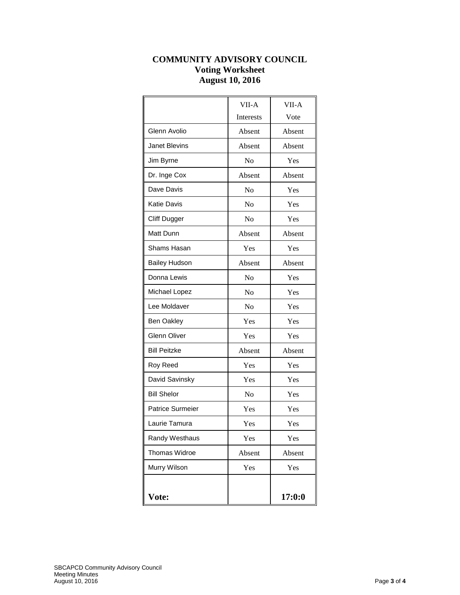# **COMMUNITY ADVISORY COUNCIL Voting Worksheet August 10, 2016**

|                         | VII-A            | VII-A  |
|-------------------------|------------------|--------|
|                         | <b>Interests</b> | Vote   |
| Glenn Avolio            | Absent           | Absent |
| <b>Janet Blevins</b>    | Absent           | Absent |
| Jim Byrne               | No               | Yes    |
| Dr. Inge Cox            | Absent           | Absent |
| Dave Davis              | No               | Yes    |
| <b>Katie Davis</b>      | No               | Yes    |
| <b>Cliff Dugger</b>     | No               | Yes    |
| Matt Dunn               | Absent           | Absent |
| <b>Shams Hasan</b>      | Yes              | Yes    |
| <b>Bailey Hudson</b>    | Absent           | Absent |
| Donna Lewis             | No               | Yes    |
| Michael Lopez           | No               | Yes    |
| Lee Moldaver            | N <sub>0</sub>   | Yes    |
| <b>Ben Oakley</b>       | Yes              | Yes    |
| <b>Glenn Oliver</b>     | Yes              | Yes    |
| <b>Bill Peitzke</b>     | Absent           | Absent |
| Roy Reed                | Yes              | Yes    |
| David Savinsky          | Yes              | Yes    |
| <b>Bill Shelor</b>      | No               | Yes    |
| <b>Patrice Surmeier</b> | Yes              | Yes    |
| Laurie Tamura           | Yes              | Yes    |
| Randy Westhaus          | Yes              | Yes    |
| <b>Thomas Widroe</b>    | Absent           | Absent |
| Murry Wilson            | Yes              | Yes    |
|                         |                  |        |
| Vote:                   |                  | 17:0:0 |